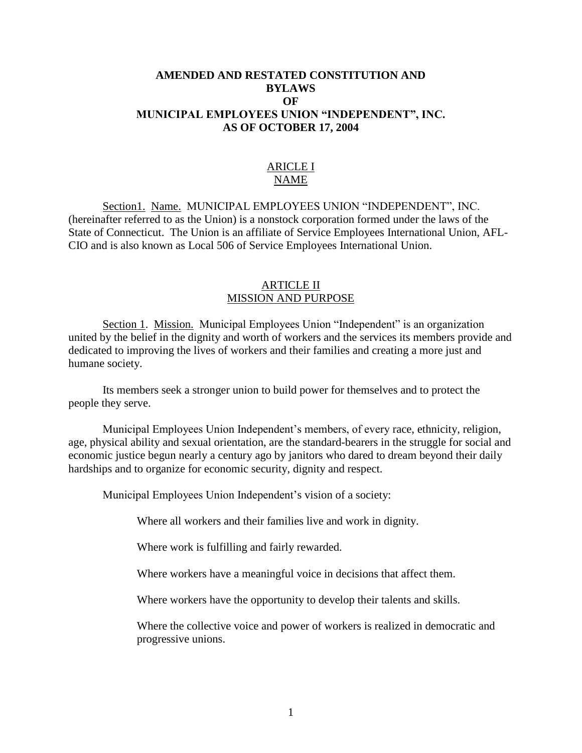# **AMENDED AND RESTATED CONSTITUTION AND BYLAWS OF MUNICIPAL EMPLOYEES UNION "INDEPENDENT", INC. AS OF OCTOBER 17, 2004**

# ARICLE I NAME

Section1. Name. MUNICIPAL EMPLOYEES UNION "INDEPENDENT", INC. (hereinafter referred to as the Union) is a nonstock corporation formed under the laws of the State of Connecticut. The Union is an affiliate of Service Employees International Union, AFL-CIO and is also known as Local 506 of Service Employees International Union.

# ARTICLE II MISSION AND PURPOSE

Section 1. Mission. Municipal Employees Union "Independent" is an organization united by the belief in the dignity and worth of workers and the services its members provide and dedicated to improving the lives of workers and their families and creating a more just and humane society.

Its members seek a stronger union to build power for themselves and to protect the people they serve.

Municipal Employees Union Independent's members, of every race, ethnicity, religion, age, physical ability and sexual orientation, are the standard-bearers in the struggle for social and economic justice begun nearly a century ago by janitors who dared to dream beyond their daily hardships and to organize for economic security, dignity and respect.

Municipal Employees Union Independent's vision of a society:

Where all workers and their families live and work in dignity.

Where work is fulfilling and fairly rewarded.

Where workers have a meaningful voice in decisions that affect them.

Where workers have the opportunity to develop their talents and skills.

Where the collective voice and power of workers is realized in democratic and progressive unions.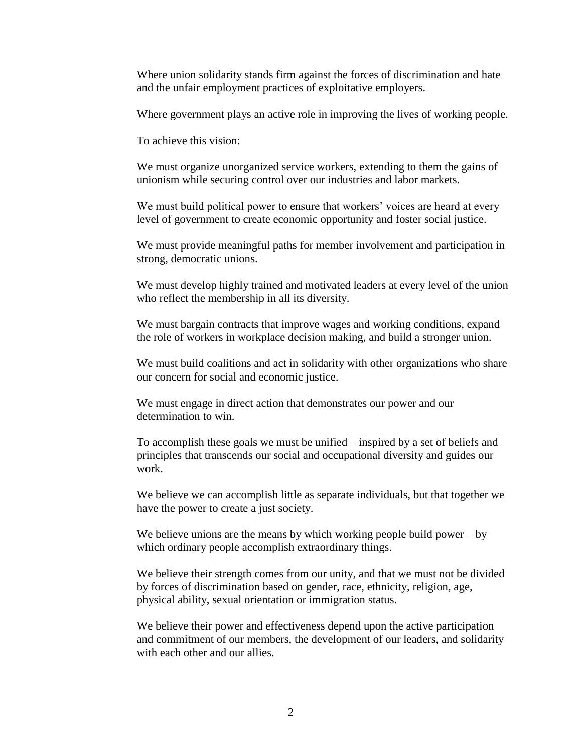Where union solidarity stands firm against the forces of discrimination and hate and the unfair employment practices of exploitative employers.

Where government plays an active role in improving the lives of working people.

To achieve this vision:

We must organize unorganized service workers, extending to them the gains of unionism while securing control over our industries and labor markets.

We must build political power to ensure that workers' voices are heard at every level of government to create economic opportunity and foster social justice.

We must provide meaningful paths for member involvement and participation in strong, democratic unions.

We must develop highly trained and motivated leaders at every level of the union who reflect the membership in all its diversity.

We must bargain contracts that improve wages and working conditions, expand the role of workers in workplace decision making, and build a stronger union.

We must build coalitions and act in solidarity with other organizations who share our concern for social and economic justice.

We must engage in direct action that demonstrates our power and our determination to win.

To accomplish these goals we must be unified – inspired by a set of beliefs and principles that transcends our social and occupational diversity and guides our work.

We believe we can accomplish little as separate individuals, but that together we have the power to create a just society.

We believe unions are the means by which working people build power – by which ordinary people accomplish extraordinary things.

We believe their strength comes from our unity, and that we must not be divided by forces of discrimination based on gender, race, ethnicity, religion, age, physical ability, sexual orientation or immigration status.

We believe their power and effectiveness depend upon the active participation and commitment of our members, the development of our leaders, and solidarity with each other and our allies.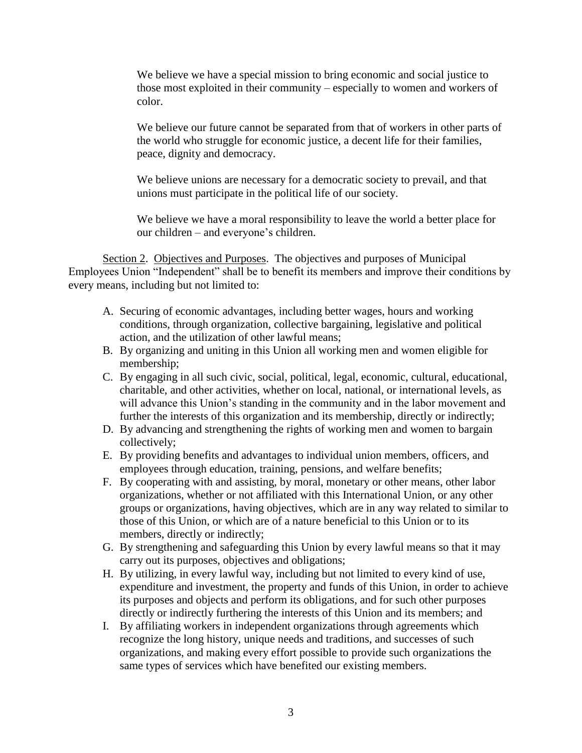We believe we have a special mission to bring economic and social justice to those most exploited in their community – especially to women and workers of color.

We believe our future cannot be separated from that of workers in other parts of the world who struggle for economic justice, a decent life for their families, peace, dignity and democracy.

We believe unions are necessary for a democratic society to prevail, and that unions must participate in the political life of our society.

We believe we have a moral responsibility to leave the world a better place for our children – and everyone's children.

Section 2. Objectives and Purposes. The objectives and purposes of Municipal Employees Union "Independent" shall be to benefit its members and improve their conditions by every means, including but not limited to:

- A. Securing of economic advantages, including better wages, hours and working conditions, through organization, collective bargaining, legislative and political action, and the utilization of other lawful means;
- B. By organizing and uniting in this Union all working men and women eligible for membership;
- C. By engaging in all such civic, social, political, legal, economic, cultural, educational, charitable, and other activities, whether on local, national, or international levels, as will advance this Union's standing in the community and in the labor movement and further the interests of this organization and its membership, directly or indirectly;
- D. By advancing and strengthening the rights of working men and women to bargain collectively;
- E. By providing benefits and advantages to individual union members, officers, and employees through education, training, pensions, and welfare benefits;
- F. By cooperating with and assisting, by moral, monetary or other means, other labor organizations, whether or not affiliated with this International Union, or any other groups or organizations, having objectives, which are in any way related to similar to those of this Union, or which are of a nature beneficial to this Union or to its members, directly or indirectly;
- G. By strengthening and safeguarding this Union by every lawful means so that it may carry out its purposes, objectives and obligations;
- H. By utilizing, in every lawful way, including but not limited to every kind of use, expenditure and investment, the property and funds of this Union, in order to achieve its purposes and objects and perform its obligations, and for such other purposes directly or indirectly furthering the interests of this Union and its members; and
- I. By affiliating workers in independent organizations through agreements which recognize the long history, unique needs and traditions, and successes of such organizations, and making every effort possible to provide such organizations the same types of services which have benefited our existing members.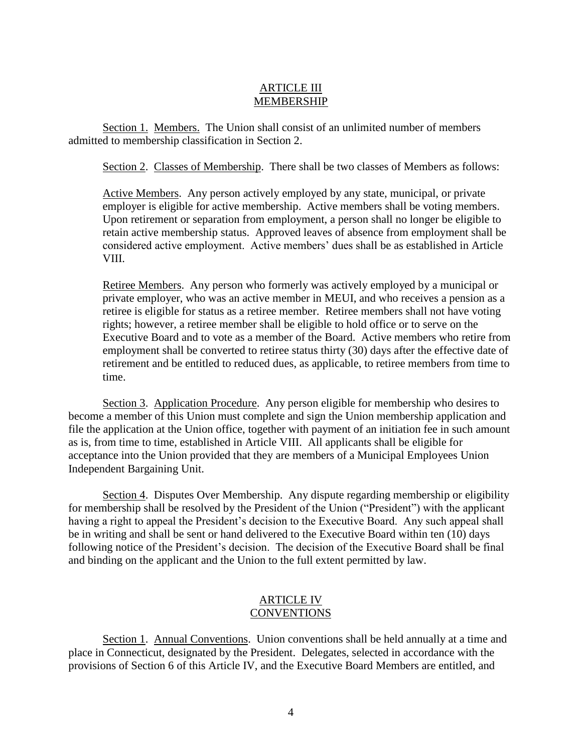# ARTICLE III MEMBERSHIP

Section 1. Members. The Union shall consist of an unlimited number of members admitted to membership classification in Section 2.

Section 2. Classes of Membership. There shall be two classes of Members as follows:

Active Members. Any person actively employed by any state, municipal, or private employer is eligible for active membership. Active members shall be voting members. Upon retirement or separation from employment, a person shall no longer be eligible to retain active membership status. Approved leaves of absence from employment shall be considered active employment. Active members' dues shall be as established in Article VIII.

Retiree Members. Any person who formerly was actively employed by a municipal or private employer, who was an active member in MEUI, and who receives a pension as a retiree is eligible for status as a retiree member. Retiree members shall not have voting rights; however, a retiree member shall be eligible to hold office or to serve on the Executive Board and to vote as a member of the Board. Active members who retire from employment shall be converted to retiree status thirty (30) days after the effective date of retirement and be entitled to reduced dues, as applicable, to retiree members from time to time.

Section 3. Application Procedure. Any person eligible for membership who desires to become a member of this Union must complete and sign the Union membership application and file the application at the Union office, together with payment of an initiation fee in such amount as is, from time to time, established in Article VIII. All applicants shall be eligible for acceptance into the Union provided that they are members of a Municipal Employees Union Independent Bargaining Unit.

Section 4. Disputes Over Membership. Any dispute regarding membership or eligibility for membership shall be resolved by the President of the Union ("President") with the applicant having a right to appeal the President's decision to the Executive Board. Any such appeal shall be in writing and shall be sent or hand delivered to the Executive Board within ten (10) days following notice of the President's decision. The decision of the Executive Board shall be final and binding on the applicant and the Union to the full extent permitted by law.

#### ARTICLE IV **CONVENTIONS**

Section 1. Annual Conventions. Union conventions shall be held annually at a time and place in Connecticut, designated by the President. Delegates, selected in accordance with the provisions of Section 6 of this Article IV, and the Executive Board Members are entitled, and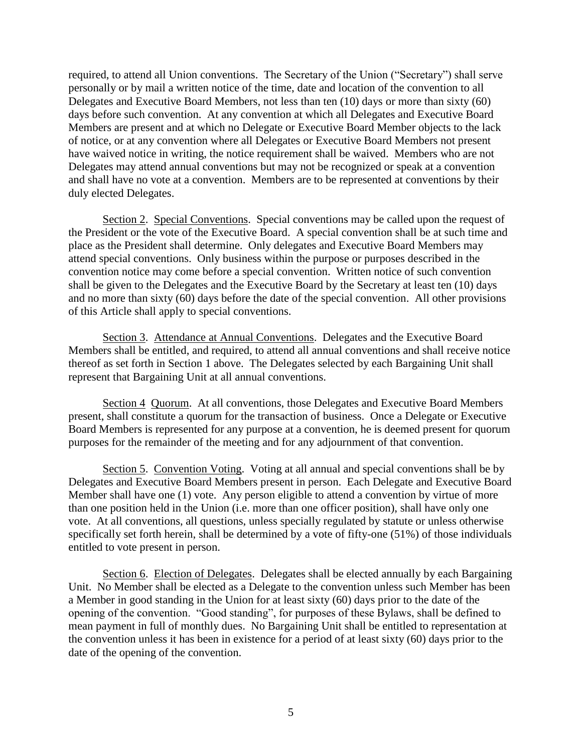required, to attend all Union conventions. The Secretary of the Union ("Secretary") shall serve personally or by mail a written notice of the time, date and location of the convention to all Delegates and Executive Board Members, not less than ten (10) days or more than sixty (60) days before such convention. At any convention at which all Delegates and Executive Board Members are present and at which no Delegate or Executive Board Member objects to the lack of notice, or at any convention where all Delegates or Executive Board Members not present have waived notice in writing, the notice requirement shall be waived. Members who are not Delegates may attend annual conventions but may not be recognized or speak at a convention and shall have no vote at a convention. Members are to be represented at conventions by their duly elected Delegates.

Section 2. Special Conventions. Special conventions may be called upon the request of the President or the vote of the Executive Board. A special convention shall be at such time and place as the President shall determine. Only delegates and Executive Board Members may attend special conventions. Only business within the purpose or purposes described in the convention notice may come before a special convention. Written notice of such convention shall be given to the Delegates and the Executive Board by the Secretary at least ten (10) days and no more than sixty (60) days before the date of the special convention. All other provisions of this Article shall apply to special conventions.

Section 3. Attendance at Annual Conventions. Delegates and the Executive Board Members shall be entitled, and required, to attend all annual conventions and shall receive notice thereof as set forth in Section 1 above. The Delegates selected by each Bargaining Unit shall represent that Bargaining Unit at all annual conventions.

Section 4 Quorum. At all conventions, those Delegates and Executive Board Members present, shall constitute a quorum for the transaction of business. Once a Delegate or Executive Board Members is represented for any purpose at a convention, he is deemed present for quorum purposes for the remainder of the meeting and for any adjournment of that convention.

Section 5. Convention Voting. Voting at all annual and special conventions shall be by Delegates and Executive Board Members present in person. Each Delegate and Executive Board Member shall have one (1) vote. Any person eligible to attend a convention by virtue of more than one position held in the Union (i.e. more than one officer position), shall have only one vote. At all conventions, all questions, unless specially regulated by statute or unless otherwise specifically set forth herein, shall be determined by a vote of fifty-one (51%) of those individuals entitled to vote present in person.

Section 6. Election of Delegates. Delegates shall be elected annually by each Bargaining Unit. No Member shall be elected as a Delegate to the convention unless such Member has been a Member in good standing in the Union for at least sixty (60) days prior to the date of the opening of the convention. "Good standing", for purposes of these Bylaws, shall be defined to mean payment in full of monthly dues. No Bargaining Unit shall be entitled to representation at the convention unless it has been in existence for a period of at least sixty (60) days prior to the date of the opening of the convention.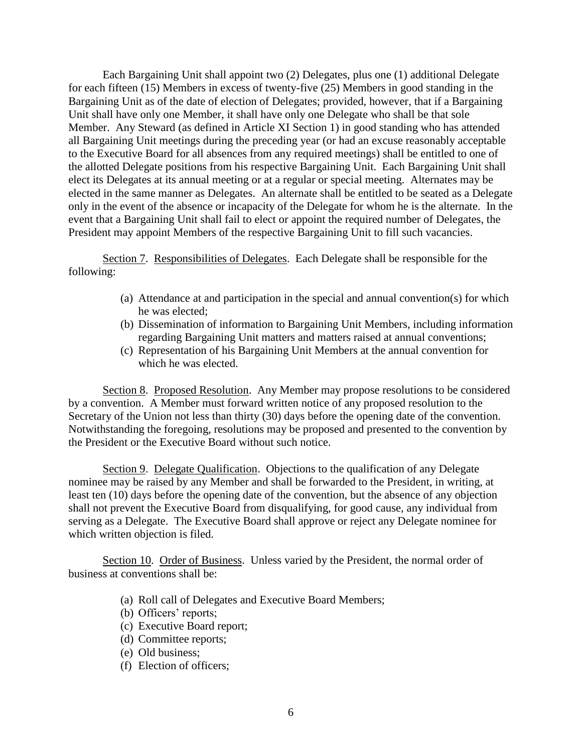Each Bargaining Unit shall appoint two (2) Delegates, plus one (1) additional Delegate for each fifteen (15) Members in excess of twenty-five (25) Members in good standing in the Bargaining Unit as of the date of election of Delegates; provided, however, that if a Bargaining Unit shall have only one Member, it shall have only one Delegate who shall be that sole Member. Any Steward (as defined in Article XI Section 1) in good standing who has attended all Bargaining Unit meetings during the preceding year (or had an excuse reasonably acceptable to the Executive Board for all absences from any required meetings) shall be entitled to one of the allotted Delegate positions from his respective Bargaining Unit. Each Bargaining Unit shall elect its Delegates at its annual meeting or at a regular or special meeting. Alternates may be elected in the same manner as Delegates. An alternate shall be entitled to be seated as a Delegate only in the event of the absence or incapacity of the Delegate for whom he is the alternate. In the event that a Bargaining Unit shall fail to elect or appoint the required number of Delegates, the President may appoint Members of the respective Bargaining Unit to fill such vacancies.

Section 7. Responsibilities of Delegates. Each Delegate shall be responsible for the following:

- (a) Attendance at and participation in the special and annual convention(s) for which he was elected;
- (b) Dissemination of information to Bargaining Unit Members, including information regarding Bargaining Unit matters and matters raised at annual conventions;
- (c) Representation of his Bargaining Unit Members at the annual convention for which he was elected.

Section 8. Proposed Resolution. Any Member may propose resolutions to be considered by a convention. A Member must forward written notice of any proposed resolution to the Secretary of the Union not less than thirty (30) days before the opening date of the convention. Notwithstanding the foregoing, resolutions may be proposed and presented to the convention by the President or the Executive Board without such notice.

Section 9. Delegate Qualification. Objections to the qualification of any Delegate nominee may be raised by any Member and shall be forwarded to the President, in writing, at least ten (10) days before the opening date of the convention, but the absence of any objection shall not prevent the Executive Board from disqualifying, for good cause, any individual from serving as a Delegate. The Executive Board shall approve or reject any Delegate nominee for which written objection is filed.

Section 10. Order of Business. Unless varied by the President, the normal order of business at conventions shall be:

- (a) Roll call of Delegates and Executive Board Members;
- (b) Officers' reports;
- (c) Executive Board report;
- (d) Committee reports;
- (e) Old business;
- (f) Election of officers;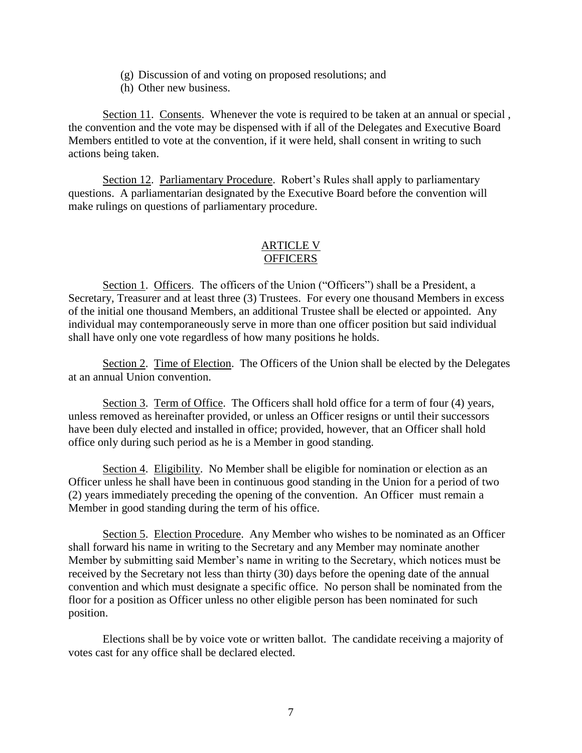- (g) Discussion of and voting on proposed resolutions; and
- (h) Other new business.

Section 11. Consents. Whenever the vote is required to be taken at an annual or special, the convention and the vote may be dispensed with if all of the Delegates and Executive Board Members entitled to vote at the convention, if it were held, shall consent in writing to such actions being taken.

Section 12. Parliamentary Procedure. Robert's Rules shall apply to parliamentary questions. A parliamentarian designated by the Executive Board before the convention will make rulings on questions of parliamentary procedure.

## ARTICLE V **OFFICERS**

Section 1. Officers. The officers of the Union ("Officers") shall be a President, a Secretary, Treasurer and at least three (3) Trustees. For every one thousand Members in excess of the initial one thousand Members, an additional Trustee shall be elected or appointed. Any individual may contemporaneously serve in more than one officer position but said individual shall have only one vote regardless of how many positions he holds.

Section 2. Time of Election. The Officers of the Union shall be elected by the Delegates at an annual Union convention.

Section 3. Term of Office. The Officers shall hold office for a term of four (4) years, unless removed as hereinafter provided, or unless an Officer resigns or until their successors have been duly elected and installed in office; provided, however, that an Officer shall hold office only during such period as he is a Member in good standing.

Section 4. Eligibility. No Member shall be eligible for nomination or election as an Officer unless he shall have been in continuous good standing in the Union for a period of two (2) years immediately preceding the opening of the convention. An Officer must remain a Member in good standing during the term of his office.

Section 5. Election Procedure. Any Member who wishes to be nominated as an Officer shall forward his name in writing to the Secretary and any Member may nominate another Member by submitting said Member's name in writing to the Secretary, which notices must be received by the Secretary not less than thirty (30) days before the opening date of the annual convention and which must designate a specific office. No person shall be nominated from the floor for a position as Officer unless no other eligible person has been nominated for such position.

Elections shall be by voice vote or written ballot. The candidate receiving a majority of votes cast for any office shall be declared elected.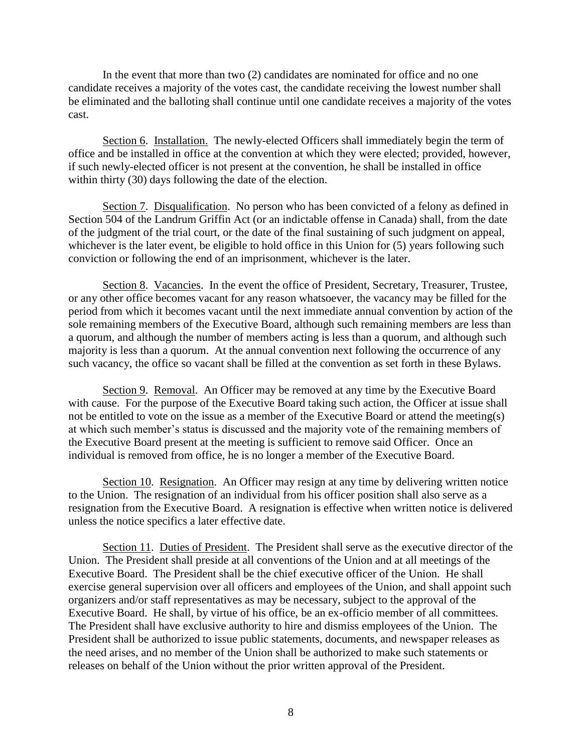In the event that more than two (2) candidates are nominated for office and no one candidate receives a majority of the votes cast, the candidate receiving the lowest number shall be eliminated and the balloting shall continue until one candidate receives a majority of the votes cast.

Section 6. Installation. The newly-elected Officers shall immediately begin the term of office and be installed in office at the convention at which they were elected; provided, however, if such newly-elected officer is not present at the convention, he shall be installed in office within thirty (30) days following the date of the election.

Section 7. Disqualification. No person who has been convicted of a felony as defined in Section 504 of the Landrum Griffin Act (or an indictable offense in Canada) shall, from the date of the judgment of the trial court, or the date of the final sustaining of such judgment on appeal, whichever is the later event, be eligible to hold office in this Union for  $(5)$  years following such conviction or following the end of an imprisonment, whichever is the later.

Section 8. Vacancies. In the event the office of President, Secretary, Treasurer, Trustee, or any other office becomes vacant for any reason whatsoever, the vacancy may be filled for the period from which it becomes vacant until the next immediate annual convention by action of the sole remaining members of the Executive Board, although such remaining members are less than a quorum, and although the number of members acting is less than a quorum, and although such majority is less than a quorum. At the annual convention next following the occurrence of any such vacancy, the office so vacant shall be filled at the convention as set forth in these Bylaws.

Section 9. Removal. An Officer may be removed at any time by the Executive Board with cause. For the purpose of the Executive Board taking such action, the Officer at issue shall not be entitled to vote on the issue as a member of the Executive Board or attend the meeting(s) at which such member's status is discussed and the majority vote of the remaining members of the Executive Board present at the meeting is sufficient to remove said Officer. Once an individual is removed from office, he is no longer a member of the Executive Board.

Section 10. Resignation. An Officer may resign at any time by delivering written notice to the Union. The resignation of an individual from his officer position shall also serve as a resignation from the Executive Board. A resignation is effective when written notice is delivered unless the notice specifics a later effective date.

Section 11. Duties of President. The President shall serve as the executive director of the Union. The President shall preside at all conventions of the Union and at all meetings of the Executive Board. The President shall be the chief executive officer of the Union. He shall exercise general supervision over all officers and employees of the Union, and shall appoint such organizers and/or staff representatives as may be necessary, subject to the approval of the Executive Board. He shall, by virtue of his office, be an ex-officio member of all committees. The President shall have exclusive authority to hire and dismiss employees of the Union. The President shall be authorized to issue public statements, documents, and newspaper releases as the need arises, and no member of the Union shall be authorized to make such statements or releases on behalf of the Union without the prior written approval of the President.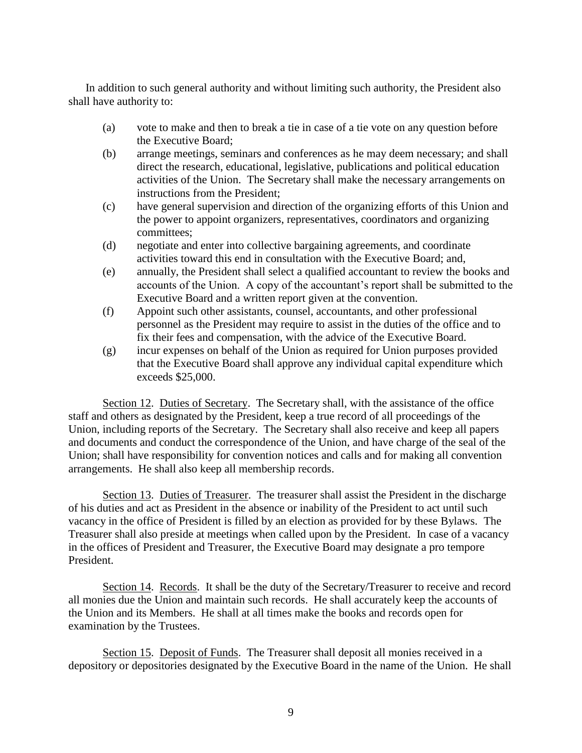In addition to such general authority and without limiting such authority, the President also shall have authority to:

- (a) vote to make and then to break a tie in case of a tie vote on any question before the Executive Board;
- (b) arrange meetings, seminars and conferences as he may deem necessary; and shall direct the research, educational, legislative, publications and political education activities of the Union. The Secretary shall make the necessary arrangements on instructions from the President;
- (c) have general supervision and direction of the organizing efforts of this Union and the power to appoint organizers, representatives, coordinators and organizing committees;
- (d) negotiate and enter into collective bargaining agreements, and coordinate activities toward this end in consultation with the Executive Board; and,
- (e) annually, the President shall select a qualified accountant to review the books and accounts of the Union. A copy of the accountant's report shall be submitted to the Executive Board and a written report given at the convention.
- (f) Appoint such other assistants, counsel, accountants, and other professional personnel as the President may require to assist in the duties of the office and to fix their fees and compensation, with the advice of the Executive Board.
- (g) incur expenses on behalf of the Union as required for Union purposes provided that the Executive Board shall approve any individual capital expenditure which exceeds \$25,000.

Section 12. Duties of Secretary. The Secretary shall, with the assistance of the office staff and others as designated by the President, keep a true record of all proceedings of the Union, including reports of the Secretary. The Secretary shall also receive and keep all papers and documents and conduct the correspondence of the Union, and have charge of the seal of the Union; shall have responsibility for convention notices and calls and for making all convention arrangements. He shall also keep all membership records.

Section 13. Duties of Treasurer. The treasurer shall assist the President in the discharge of his duties and act as President in the absence or inability of the President to act until such vacancy in the office of President is filled by an election as provided for by these Bylaws. The Treasurer shall also preside at meetings when called upon by the President. In case of a vacancy in the offices of President and Treasurer, the Executive Board may designate a pro tempore President.

Section 14. Records. It shall be the duty of the Secretary/Treasurer to receive and record all monies due the Union and maintain such records. He shall accurately keep the accounts of the Union and its Members. He shall at all times make the books and records open for examination by the Trustees.

Section 15. Deposit of Funds. The Treasurer shall deposit all monies received in a depository or depositories designated by the Executive Board in the name of the Union. He shall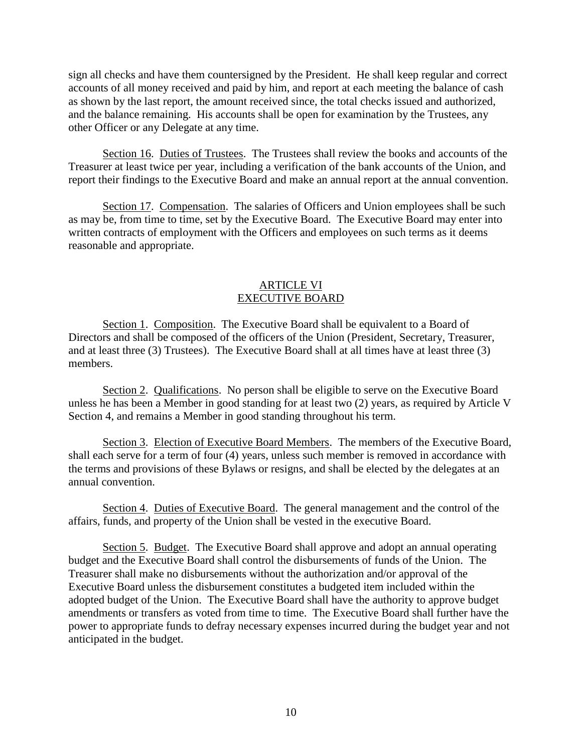sign all checks and have them countersigned by the President. He shall keep regular and correct accounts of all money received and paid by him, and report at each meeting the balance of cash as shown by the last report, the amount received since, the total checks issued and authorized, and the balance remaining. His accounts shall be open for examination by the Trustees, any other Officer or any Delegate at any time.

Section 16. Duties of Trustees. The Trustees shall review the books and accounts of the Treasurer at least twice per year, including a verification of the bank accounts of the Union, and report their findings to the Executive Board and make an annual report at the annual convention.

Section 17. Compensation. The salaries of Officers and Union employees shall be such as may be, from time to time, set by the Executive Board. The Executive Board may enter into written contracts of employment with the Officers and employees on such terms as it deems reasonable and appropriate.

## ARTICLE VI EXECUTIVE BOARD

Section 1. Composition. The Executive Board shall be equivalent to a Board of Directors and shall be composed of the officers of the Union (President, Secretary, Treasurer, and at least three (3) Trustees). The Executive Board shall at all times have at least three (3) members.

Section 2. Qualifications. No person shall be eligible to serve on the Executive Board unless he has been a Member in good standing for at least two (2) years, as required by Article V Section 4, and remains a Member in good standing throughout his term.

Section 3. Election of Executive Board Members. The members of the Executive Board, shall each serve for a term of four (4) years, unless such member is removed in accordance with the terms and provisions of these Bylaws or resigns, and shall be elected by the delegates at an annual convention.

Section 4. Duties of Executive Board. The general management and the control of the affairs, funds, and property of the Union shall be vested in the executive Board.

Section 5. Budget. The Executive Board shall approve and adopt an annual operating budget and the Executive Board shall control the disbursements of funds of the Union. The Treasurer shall make no disbursements without the authorization and/or approval of the Executive Board unless the disbursement constitutes a budgeted item included within the adopted budget of the Union. The Executive Board shall have the authority to approve budget amendments or transfers as voted from time to time. The Executive Board shall further have the power to appropriate funds to defray necessary expenses incurred during the budget year and not anticipated in the budget.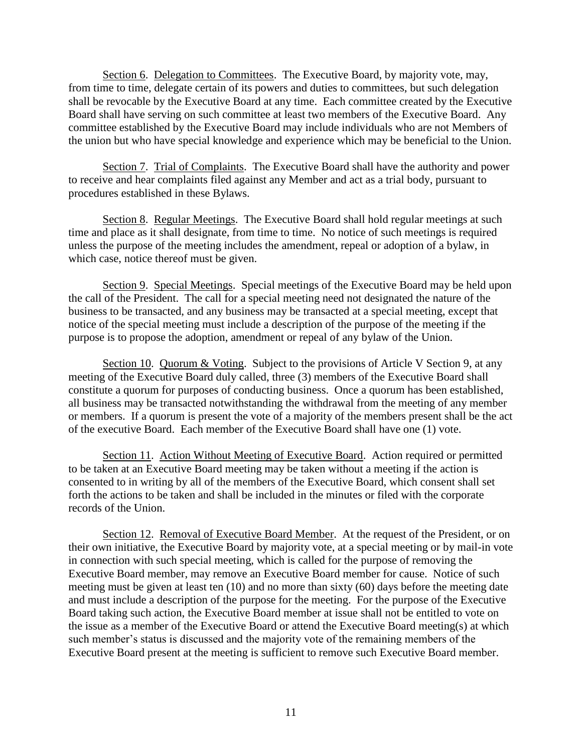Section 6. Delegation to Committees. The Executive Board, by majority vote, may, from time to time, delegate certain of its powers and duties to committees, but such delegation shall be revocable by the Executive Board at any time. Each committee created by the Executive Board shall have serving on such committee at least two members of the Executive Board. Any committee established by the Executive Board may include individuals who are not Members of the union but who have special knowledge and experience which may be beneficial to the Union.

Section 7. Trial of Complaints. The Executive Board shall have the authority and power to receive and hear complaints filed against any Member and act as a trial body, pursuant to procedures established in these Bylaws.

Section 8. Regular Meetings. The Executive Board shall hold regular meetings at such time and place as it shall designate, from time to time. No notice of such meetings is required unless the purpose of the meeting includes the amendment, repeal or adoption of a bylaw, in which case, notice thereof must be given.

Section 9. Special Meetings. Special meetings of the Executive Board may be held upon the call of the President. The call for a special meeting need not designated the nature of the business to be transacted, and any business may be transacted at a special meeting, except that notice of the special meeting must include a description of the purpose of the meeting if the purpose is to propose the adoption, amendment or repeal of any bylaw of the Union.

Section 10. Quorum & Voting. Subject to the provisions of Article V Section 9, at any meeting of the Executive Board duly called, three (3) members of the Executive Board shall constitute a quorum for purposes of conducting business. Once a quorum has been established, all business may be transacted notwithstanding the withdrawal from the meeting of any member or members. If a quorum is present the vote of a majority of the members present shall be the act of the executive Board. Each member of the Executive Board shall have one (1) vote.

Section 11. Action Without Meeting of Executive Board. Action required or permitted to be taken at an Executive Board meeting may be taken without a meeting if the action is consented to in writing by all of the members of the Executive Board, which consent shall set forth the actions to be taken and shall be included in the minutes or filed with the corporate records of the Union.

Section 12. Removal of Executive Board Member. At the request of the President, or on their own initiative, the Executive Board by majority vote, at a special meeting or by mail-in vote in connection with such special meeting, which is called for the purpose of removing the Executive Board member, may remove an Executive Board member for cause. Notice of such meeting must be given at least ten (10) and no more than sixty (60) days before the meeting date and must include a description of the purpose for the meeting. For the purpose of the Executive Board taking such action, the Executive Board member at issue shall not be entitled to vote on the issue as a member of the Executive Board or attend the Executive Board meeting(s) at which such member's status is discussed and the majority vote of the remaining members of the Executive Board present at the meeting is sufficient to remove such Executive Board member.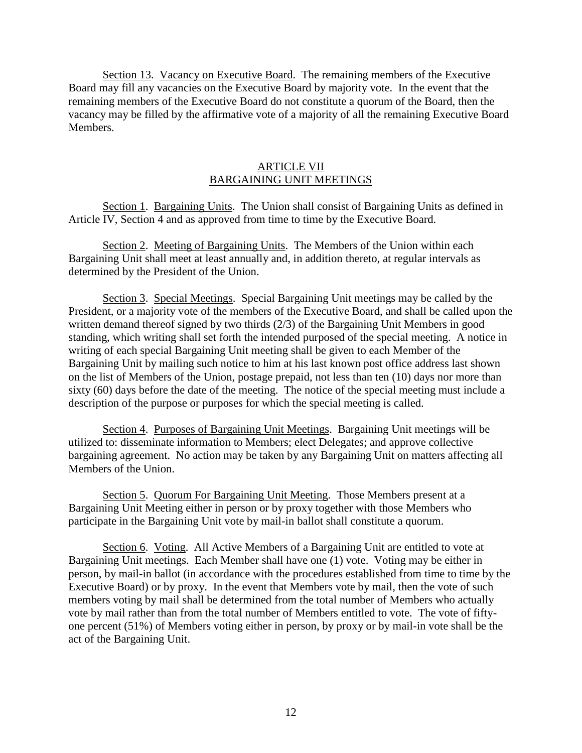Section 13. Vacancy on Executive Board. The remaining members of the Executive Board may fill any vacancies on the Executive Board by majority vote. In the event that the remaining members of the Executive Board do not constitute a quorum of the Board, then the vacancy may be filled by the affirmative vote of a majority of all the remaining Executive Board Members.

# ARTICLE VII BARGAINING UNIT MEETINGS

Section 1. Bargaining Units. The Union shall consist of Bargaining Units as defined in Article IV, Section 4 and as approved from time to time by the Executive Board.

Section 2. Meeting of Bargaining Units. The Members of the Union within each Bargaining Unit shall meet at least annually and, in addition thereto, at regular intervals as determined by the President of the Union.

Section 3. Special Meetings. Special Bargaining Unit meetings may be called by the President, or a majority vote of the members of the Executive Board, and shall be called upon the written demand thereof signed by two thirds (2/3) of the Bargaining Unit Members in good standing, which writing shall set forth the intended purposed of the special meeting. A notice in writing of each special Bargaining Unit meeting shall be given to each Member of the Bargaining Unit by mailing such notice to him at his last known post office address last shown on the list of Members of the Union, postage prepaid, not less than ten (10) days nor more than sixty (60) days before the date of the meeting. The notice of the special meeting must include a description of the purpose or purposes for which the special meeting is called.

Section 4. Purposes of Bargaining Unit Meetings. Bargaining Unit meetings will be utilized to: disseminate information to Members; elect Delegates; and approve collective bargaining agreement. No action may be taken by any Bargaining Unit on matters affecting all Members of the Union.

Section 5. Quorum For Bargaining Unit Meeting. Those Members present at a Bargaining Unit Meeting either in person or by proxy together with those Members who participate in the Bargaining Unit vote by mail-in ballot shall constitute a quorum.

Section 6. Voting. All Active Members of a Bargaining Unit are entitled to vote at Bargaining Unit meetings. Each Member shall have one (1) vote. Voting may be either in person, by mail-in ballot (in accordance with the procedures established from time to time by the Executive Board) or by proxy. In the event that Members vote by mail, then the vote of such members voting by mail shall be determined from the total number of Members who actually vote by mail rather than from the total number of Members entitled to vote. The vote of fiftyone percent (51%) of Members voting either in person, by proxy or by mail-in vote shall be the act of the Bargaining Unit.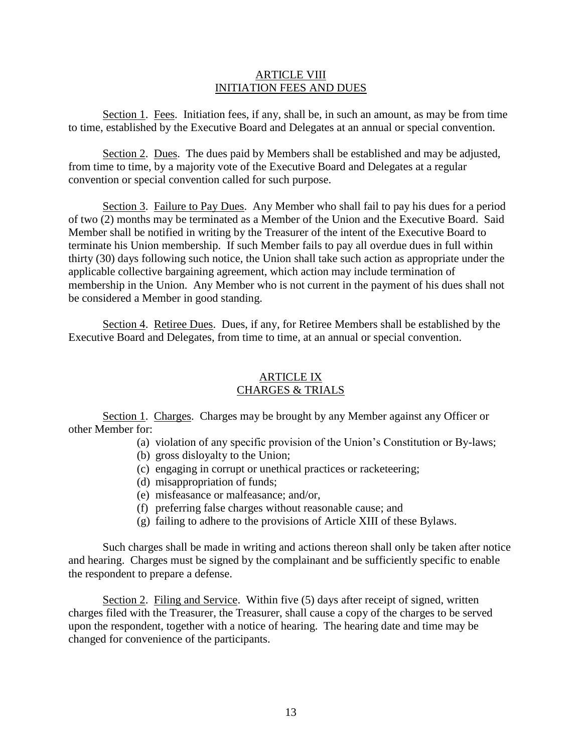# ARTICLE VIII INITIATION FEES AND DUES

Section 1. Fees. Initiation fees, if any, shall be, in such an amount, as may be from time to time, established by the Executive Board and Delegates at an annual or special convention.

Section 2. Dues. The dues paid by Members shall be established and may be adjusted, from time to time, by a majority vote of the Executive Board and Delegates at a regular convention or special convention called for such purpose.

Section 3. Failure to Pay Dues. Any Member who shall fail to pay his dues for a period of two (2) months may be terminated as a Member of the Union and the Executive Board. Said Member shall be notified in writing by the Treasurer of the intent of the Executive Board to terminate his Union membership. If such Member fails to pay all overdue dues in full within thirty (30) days following such notice, the Union shall take such action as appropriate under the applicable collective bargaining agreement, which action may include termination of membership in the Union. Any Member who is not current in the payment of his dues shall not be considered a Member in good standing.

Section 4. Retiree Dues. Dues, if any, for Retiree Members shall be established by the Executive Board and Delegates, from time to time, at an annual or special convention.

# ARTICLE IX CHARGES & TRIALS

Section 1. Charges. Charges may be brought by any Member against any Officer or other Member for:

- (a) violation of any specific provision of the Union's Constitution or By-laws;
- (b) gross disloyalty to the Union;
- (c) engaging in corrupt or unethical practices or racketeering;
- (d) misappropriation of funds;
- (e) misfeasance or malfeasance; and/or,
- (f) preferring false charges without reasonable cause; and
- (g) failing to adhere to the provisions of Article XIII of these Bylaws.

Such charges shall be made in writing and actions thereon shall only be taken after notice and hearing. Charges must be signed by the complainant and be sufficiently specific to enable the respondent to prepare a defense.

Section 2. Filing and Service. Within five (5) days after receipt of signed, written charges filed with the Treasurer, the Treasurer, shall cause a copy of the charges to be served upon the respondent, together with a notice of hearing. The hearing date and time may be changed for convenience of the participants.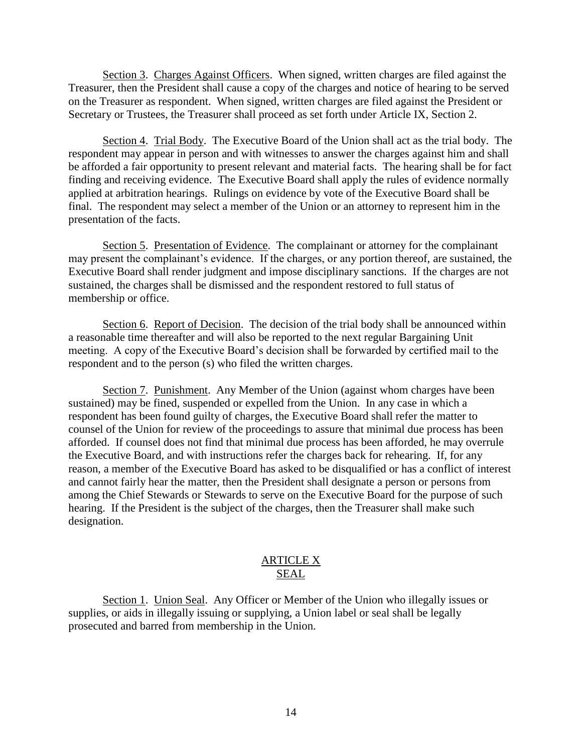Section 3. Charges Against Officers. When signed, written charges are filed against the Treasurer, then the President shall cause a copy of the charges and notice of hearing to be served on the Treasurer as respondent. When signed, written charges are filed against the President or Secretary or Trustees, the Treasurer shall proceed as set forth under Article IX, Section 2.

Section 4. Trial Body. The Executive Board of the Union shall act as the trial body. The respondent may appear in person and with witnesses to answer the charges against him and shall be afforded a fair opportunity to present relevant and material facts. The hearing shall be for fact finding and receiving evidence. The Executive Board shall apply the rules of evidence normally applied at arbitration hearings. Rulings on evidence by vote of the Executive Board shall be final. The respondent may select a member of the Union or an attorney to represent him in the presentation of the facts.

Section 5. Presentation of Evidence. The complainant or attorney for the complainant may present the complainant's evidence. If the charges, or any portion thereof, are sustained, the Executive Board shall render judgment and impose disciplinary sanctions. If the charges are not sustained, the charges shall be dismissed and the respondent restored to full status of membership or office.

Section 6. Report of Decision. The decision of the trial body shall be announced within a reasonable time thereafter and will also be reported to the next regular Bargaining Unit meeting. A copy of the Executive Board's decision shall be forwarded by certified mail to the respondent and to the person (s) who filed the written charges.

Section 7. Punishment. Any Member of the Union (against whom charges have been sustained) may be fined, suspended or expelled from the Union. In any case in which a respondent has been found guilty of charges, the Executive Board shall refer the matter to counsel of the Union for review of the proceedings to assure that minimal due process has been afforded. If counsel does not find that minimal due process has been afforded, he may overrule the Executive Board, and with instructions refer the charges back for rehearing. If, for any reason, a member of the Executive Board has asked to be disqualified or has a conflict of interest and cannot fairly hear the matter, then the President shall designate a person or persons from among the Chief Stewards or Stewards to serve on the Executive Board for the purpose of such hearing. If the President is the subject of the charges, then the Treasurer shall make such designation.

#### ARTICLE X SEAL

Section 1. Union Seal. Any Officer or Member of the Union who illegally issues or supplies, or aids in illegally issuing or supplying, a Union label or seal shall be legally prosecuted and barred from membership in the Union.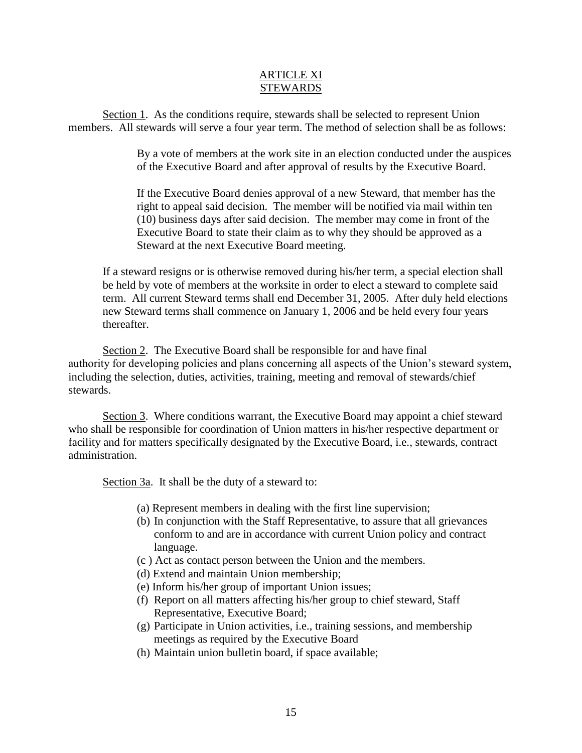## ARTICLE XI **STEWARDS**

Section 1. As the conditions require, stewards shall be selected to represent Union members. All stewards will serve a four year term. The method of selection shall be as follows:

> By a vote of members at the work site in an election conducted under the auspices of the Executive Board and after approval of results by the Executive Board.

If the Executive Board denies approval of a new Steward, that member has the right to appeal said decision. The member will be notified via mail within ten (10) business days after said decision. The member may come in front of the Executive Board to state their claim as to why they should be approved as a Steward at the next Executive Board meeting.

If a steward resigns or is otherwise removed during his/her term, a special election shall be held by vote of members at the worksite in order to elect a steward to complete said term. All current Steward terms shall end December 31, 2005. After duly held elections new Steward terms shall commence on January 1, 2006 and be held every four years thereafter.

Section 2. The Executive Board shall be responsible for and have final authority for developing policies and plans concerning all aspects of the Union's steward system, including the selection, duties, activities, training, meeting and removal of stewards/chief stewards.

Section 3. Where conditions warrant, the Executive Board may appoint a chief steward who shall be responsible for coordination of Union matters in his/her respective department or facility and for matters specifically designated by the Executive Board, i.e., stewards, contract administration.

Section 3a. It shall be the duty of a steward to:

- (a) Represent members in dealing with the first line supervision;
- (b) In conjunction with the Staff Representative, to assure that all grievances conform to and are in accordance with current Union policy and contract language.
- (c ) Act as contact person between the Union and the members.
- (d) Extend and maintain Union membership;
- (e) Inform his/her group of important Union issues;
- (f) Report on all matters affecting his/her group to chief steward, Staff Representative, Executive Board;
- (g) Participate in Union activities, i.e., training sessions, and membership meetings as required by the Executive Board
- (h) Maintain union bulletin board, if space available;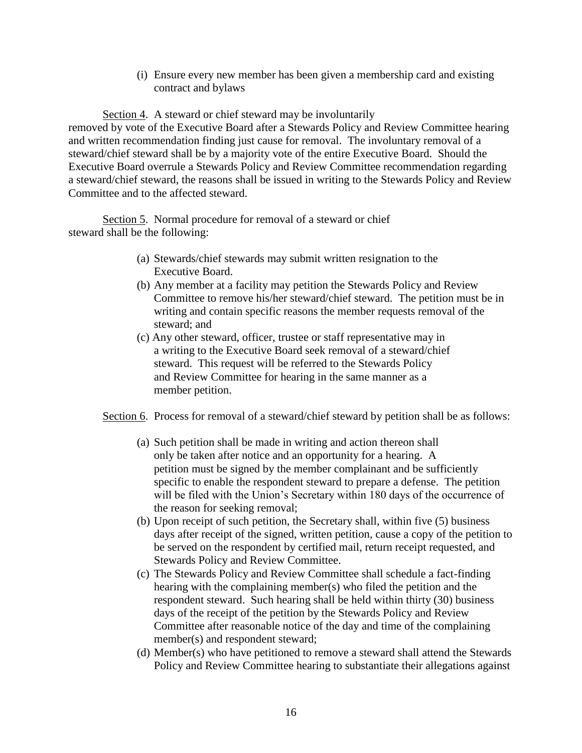(i) Ensure every new member has been given a membership card and existing contract and bylaws

Section 4. A steward or chief steward may be involuntarily removed by vote of the Executive Board after a Stewards Policy and Review Committee hearing and written recommendation finding just cause for removal. The involuntary removal of a steward/chief steward shall be by a majority vote of the entire Executive Board. Should the Executive Board overrule a Stewards Policy and Review Committee recommendation regarding a steward/chief steward, the reasons shall be issued in writing to the Stewards Policy and Review Committee and to the affected steward.

Section 5. Normal procedure for removal of a steward or chief steward shall be the following:

- (a) Stewards/chief stewards may submit written resignation to the Executive Board.
- (b) Any member at a facility may petition the Stewards Policy and Review Committee to remove his/her steward/chief steward. The petition must be in writing and contain specific reasons the member requests removal of the steward; and
- (c) Any other steward, officer, trustee or staff representative may in a writing to the Executive Board seek removal of a steward/chief steward. This request will be referred to the Stewards Policy and Review Committee for hearing in the same manner as a member petition.

Section 6. Process for removal of a steward/chief steward by petition shall be as follows:

- (a) Such petition shall be made in writing and action thereon shall only be taken after notice and an opportunity for a hearing. A petition must be signed by the member complainant and be sufficiently specific to enable the respondent steward to prepare a defense. The petition will be filed with the Union's Secretary within 180 days of the occurrence of the reason for seeking removal;
- (b) Upon receipt of such petition, the Secretary shall, within five (5) business days after receipt of the signed, written petition, cause a copy of the petition to be served on the respondent by certified mail, return receipt requested, and Stewards Policy and Review Committee.
- (c) The Stewards Policy and Review Committee shall schedule a fact-finding hearing with the complaining member(s) who filed the petition and the respondent steward. Such hearing shall be held within thirty (30) business days of the receipt of the petition by the Stewards Policy and Review Committee after reasonable notice of the day and time of the complaining member(s) and respondent steward;
- (d) Member(s) who have petitioned to remove a steward shall attend the Stewards Policy and Review Committee hearing to substantiate their allegations against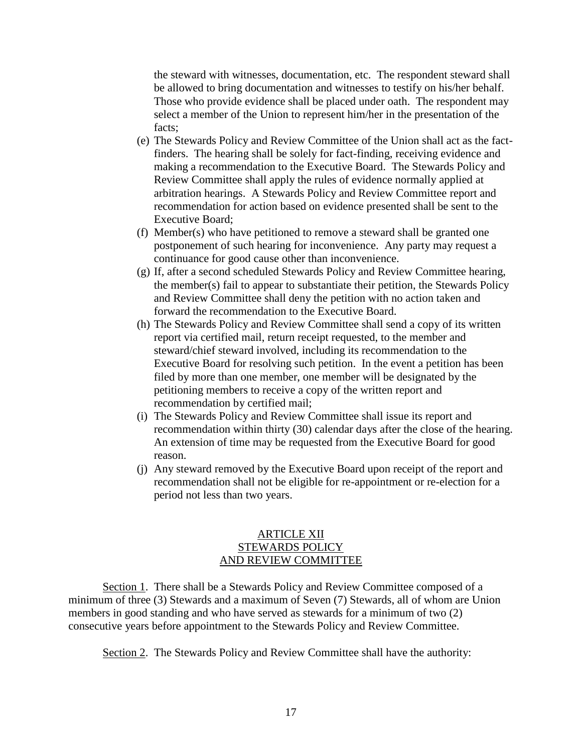the steward with witnesses, documentation, etc. The respondent steward shall be allowed to bring documentation and witnesses to testify on his/her behalf. Those who provide evidence shall be placed under oath. The respondent may select a member of the Union to represent him/her in the presentation of the facts;

- (e) The Stewards Policy and Review Committee of the Union shall act as the factfinders. The hearing shall be solely for fact-finding, receiving evidence and making a recommendation to the Executive Board. The Stewards Policy and Review Committee shall apply the rules of evidence normally applied at arbitration hearings. A Stewards Policy and Review Committee report and recommendation for action based on evidence presented shall be sent to the Executive Board;
- (f) Member(s) who have petitioned to remove a steward shall be granted one postponement of such hearing for inconvenience. Any party may request a continuance for good cause other than inconvenience.
- (g) If, after a second scheduled Stewards Policy and Review Committee hearing, the member(s) fail to appear to substantiate their petition, the Stewards Policy and Review Committee shall deny the petition with no action taken and forward the recommendation to the Executive Board.
- (h) The Stewards Policy and Review Committee shall send a copy of its written report via certified mail, return receipt requested, to the member and steward/chief steward involved, including its recommendation to the Executive Board for resolving such petition. In the event a petition has been filed by more than one member, one member will be designated by the petitioning members to receive a copy of the written report and recommendation by certified mail;
- (i) The Stewards Policy and Review Committee shall issue its report and recommendation within thirty (30) calendar days after the close of the hearing. An extension of time may be requested from the Executive Board for good reason.
- (j) Any steward removed by the Executive Board upon receipt of the report and recommendation shall not be eligible for re-appointment or re-election for a period not less than two years.

# ARTICLE XII STEWARDS POLICY AND REVIEW COMMITTEE

Section 1. There shall be a Stewards Policy and Review Committee composed of a minimum of three (3) Stewards and a maximum of Seven (7) Stewards, all of whom are Union members in good standing and who have served as stewards for a minimum of two (2) consecutive years before appointment to the Stewards Policy and Review Committee.

Section 2. The Stewards Policy and Review Committee shall have the authority: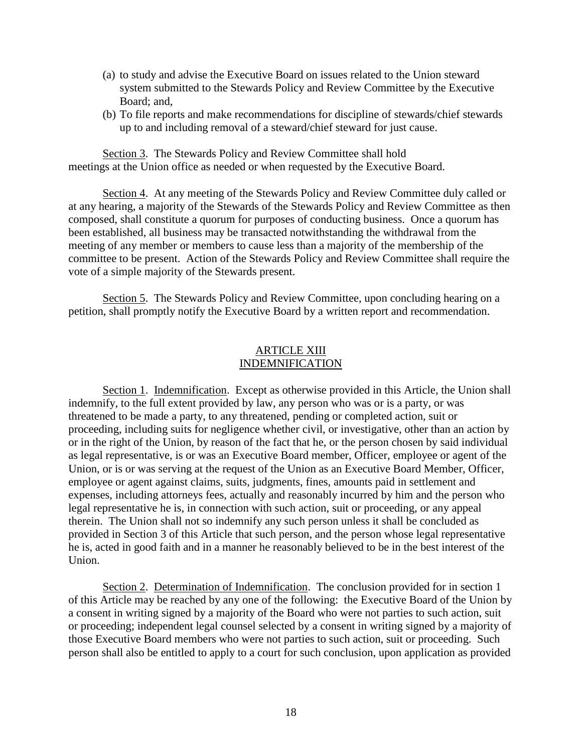- (a) to study and advise the Executive Board on issues related to the Union steward system submitted to the Stewards Policy and Review Committee by the Executive Board; and,
- (b) To file reports and make recommendations for discipline of stewards/chief stewards up to and including removal of a steward/chief steward for just cause.

Section 3. The Stewards Policy and Review Committee shall hold meetings at the Union office as needed or when requested by the Executive Board.

Section 4. At any meeting of the Stewards Policy and Review Committee duly called or at any hearing, a majority of the Stewards of the Stewards Policy and Review Committee as then composed, shall constitute a quorum for purposes of conducting business. Once a quorum has been established, all business may be transacted notwithstanding the withdrawal from the meeting of any member or members to cause less than a majority of the membership of the committee to be present. Action of the Stewards Policy and Review Committee shall require the vote of a simple majority of the Stewards present.

Section 5. The Stewards Policy and Review Committee, upon concluding hearing on a petition, shall promptly notify the Executive Board by a written report and recommendation.

# ARTICLE XIII INDEMNIFICATION

Section 1. Indemnification. Except as otherwise provided in this Article, the Union shall indemnify, to the full extent provided by law, any person who was or is a party, or was threatened to be made a party, to any threatened, pending or completed action, suit or proceeding, including suits for negligence whether civil, or investigative, other than an action by or in the right of the Union, by reason of the fact that he, or the person chosen by said individual as legal representative, is or was an Executive Board member, Officer, employee or agent of the Union, or is or was serving at the request of the Union as an Executive Board Member, Officer, employee or agent against claims, suits, judgments, fines, amounts paid in settlement and expenses, including attorneys fees, actually and reasonably incurred by him and the person who legal representative he is, in connection with such action, suit or proceeding, or any appeal therein. The Union shall not so indemnify any such person unless it shall be concluded as provided in Section 3 of this Article that such person, and the person whose legal representative he is, acted in good faith and in a manner he reasonably believed to be in the best interest of the Union.

Section 2. Determination of Indemnification. The conclusion provided for in section 1 of this Article may be reached by any one of the following: the Executive Board of the Union by a consent in writing signed by a majority of the Board who were not parties to such action, suit or proceeding; independent legal counsel selected by a consent in writing signed by a majority of those Executive Board members who were not parties to such action, suit or proceeding. Such person shall also be entitled to apply to a court for such conclusion, upon application as provided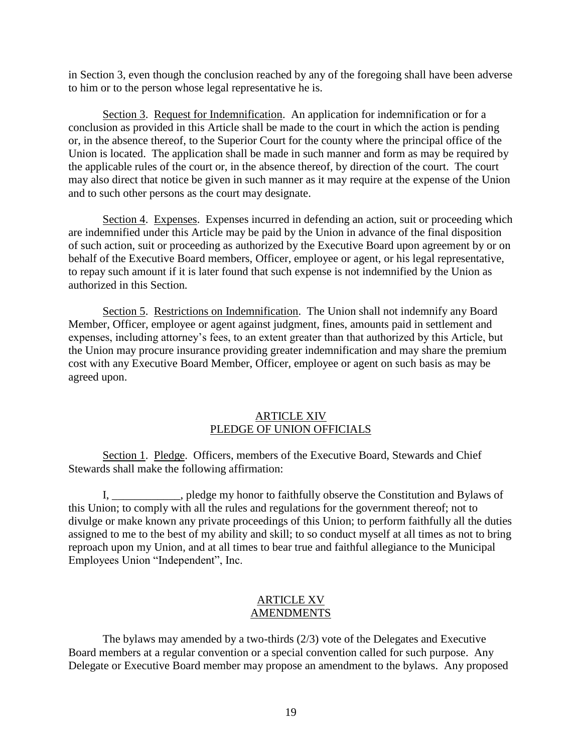in Section 3, even though the conclusion reached by any of the foregoing shall have been adverse to him or to the person whose legal representative he is.

Section 3. Request for Indemnification. An application for indemnification or for a conclusion as provided in this Article shall be made to the court in which the action is pending or, in the absence thereof, to the Superior Court for the county where the principal office of the Union is located. The application shall be made in such manner and form as may be required by the applicable rules of the court or, in the absence thereof, by direction of the court. The court may also direct that notice be given in such manner as it may require at the expense of the Union and to such other persons as the court may designate.

Section 4. Expenses. Expenses incurred in defending an action, suit or proceeding which are indemnified under this Article may be paid by the Union in advance of the final disposition of such action, suit or proceeding as authorized by the Executive Board upon agreement by or on behalf of the Executive Board members, Officer, employee or agent, or his legal representative, to repay such amount if it is later found that such expense is not indemnified by the Union as authorized in this Section.

Section 5. Restrictions on Indemnification. The Union shall not indemnify any Board Member, Officer, employee or agent against judgment, fines, amounts paid in settlement and expenses, including attorney's fees, to an extent greater than that authorized by this Article, but the Union may procure insurance providing greater indemnification and may share the premium cost with any Executive Board Member, Officer, employee or agent on such basis as may be agreed upon.

#### ARTICLE XIV PLEDGE OF UNION OFFICIALS

Section 1. Pledge. Officers, members of the Executive Board, Stewards and Chief Stewards shall make the following affirmation:

I, \_\_\_\_\_\_\_\_\_\_\_\_, pledge my honor to faithfully observe the Constitution and Bylaws of this Union; to comply with all the rules and regulations for the government thereof; not to divulge or make known any private proceedings of this Union; to perform faithfully all the duties assigned to me to the best of my ability and skill; to so conduct myself at all times as not to bring reproach upon my Union, and at all times to bear true and faithful allegiance to the Municipal Employees Union "Independent", Inc.

# ARTICLE XV AMENDMENTS

The bylaws may amended by a two-thirds (2/3) vote of the Delegates and Executive Board members at a regular convention or a special convention called for such purpose. Any Delegate or Executive Board member may propose an amendment to the bylaws. Any proposed